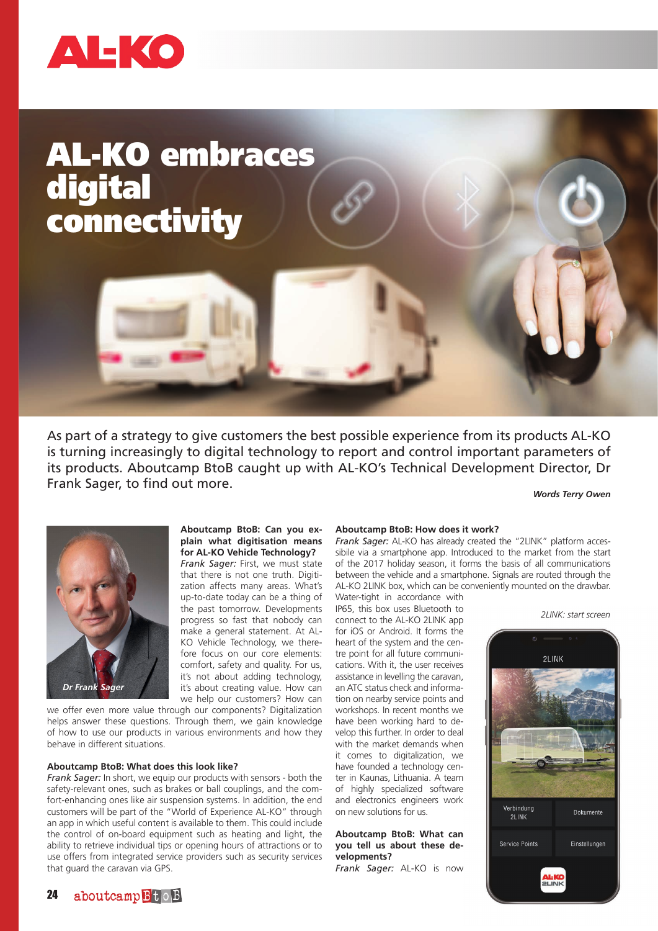

# AL-KO embraces digital connectivity





### **Aboutcamp BtoB: Can you explain what digitisation means for AL-KO Vehicle Technology?**

*Frank Sager:* First, we must state that there is not one truth. Digitization affects many areas. What's up-to-date today can be a thing of the past tomorrow. Developments progress so fast that nobody can make a general statement. At AL-KO Vehicle Technology, we therefore focus on our core elements: comfort, safety and quality. For us, it's not about adding technology, it's about creating value. How can we help our customers? How can

we offer even more value through our components? Digitalization helps answer these questions. Through them, we gain knowledge of how to use our products in various environments and how they behave in different situations.

# **Aboutcamp BtoB: What does this look like?**

*Frank Sager:* In short, we equip our products with sensors - both the safety-relevant ones, such as brakes or ball couplings, and the comfort-enhancing ones like air suspension systems. In addition, the end customers will be part of the "World of Experience AL-KO" through an app in which useful content is available to them. This could include the control of on-board equipment such as heating and light, the ability to retrieve individual tips or opening hours of attractions or to use offers from integrated service providers such as security services that guard the caravan via GPS.

#### **Aboutcamp BtoB: How does it work?**

*Frank Sager:* AL-KO has already created the "2LINK" platform accessibile via a smartphone app. Introduced to the market from the start of the 2017 holiday season, it forms the basis of all communications between the vehicle and a smartphone. Signals are routed through the AL-KO 2LINK box, which can be conveniently mounted on the drawbar.

Water-tight in accordance with IP65, this box uses Bluetooth to connect to the AL-KO 2LINK app for iOS or Android. It forms the heart of the system and the centre point for all future communications. With it, the user receives assistance in levelling the caravan, an ATC status check and information on nearby service points and workshops. In recent months we have been working hard to develop this further. In order to deal with the market demands when it comes to digitalization, we have founded a technology center in Kaunas, Lithuania. A team of highly specialized software and electronics engineers work on new solutions for us.

## **Aboutcamp BtoB: What can you tell us about these developments?**

*Frank Sager:* AL-KO is now

*2LINK: start screen*